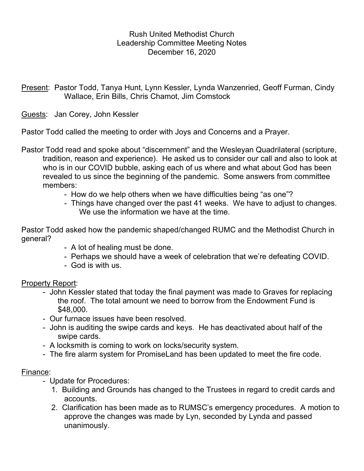### Rush United Methodist Church Leadership Committee Meeting Notes December 16, 2020

Present: Pastor Todd, Tanya Hunt, Lynn Kessler, Lynda Wanzenried, Geoff Furman, Cindy Wallace, Erin Bills, Chris Chamot, Jim Comstock

Guests: Jan Corey, John Kessler

Pastor Todd called the meeting to order with Joys and Concerns and a Prayer.

Pastor Todd read and spoke about "discernment" and the Wesleyan Quadrilateral (scripture, tradition, reason and experience). He asked us to consider our call and also to look at who is in our COVID bubble, asking each of us where and what about God has been revealed to us since the beginning of the pandemic. Some answers from committee members:

- How do we help others when we have difficulties being "as one"?
- Things have changed over the past 41 weeks. We have to adjust to changes. We use the information we have at the time.

Pastor Todd asked how the pandemic shaped/changed RUMC and the Methodist Church in general?

- A lot of healing must be done.
- Perhaps we should have a week of celebration that we're defeating COVID.
- God is with us.

Property Report:

- John Kessler stated that today the final payment was made to Graves for replacing the roof. The total amount we need to borrow from the Endowment Fund is \$48,000.
- Our furnace issues have been resolved.
- John is auditing the swipe cards and keys. He has deactivated about half of the swipe cards.
- A locksmith is coming to work on locks/security system.
- The fire alarm system for PromiseLand has been updated to meet the fire code.

#### Finance:

- Update for Procedures:
	- 1. Building and Grounds has changed to the Trustees in regard to credit cards and accounts.
	- 2. Clarification has been made as to RUMSC's emergency procedures. A motion to approve the changes was made by Lyn, seconded by Lynda and passed unanimously.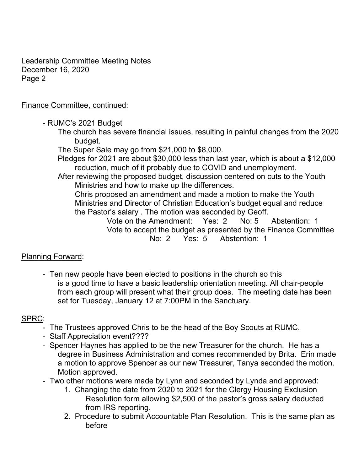Leadership Committee Meeting Notes December 16, 2020 Page 2

### Finance Committee, continued:

- RUMC's 2021 Budget

 The church has severe financial issues, resulting in painful changes from the 2020 budget.

The Super Sale may go from \$21,000 to \$8,000.

 Pledges for 2021 are about \$30,000 less than last year, which is about a \$12,000 reduction, much of it probably due to COVID and unemployment.

 After reviewing the proposed budget, discussion centered on cuts to the Youth Ministries and how to make up the differences.

 Chris proposed an amendment and made a motion to make the Youth Ministries and Director of Christian Education's budget equal and reduce the Pastor's salary . The motion was seconded by Geoff.

 Vote on the Amendment: Yes: 2 No: 5 Abstention: 1 Vote to accept the budget as presented by the Finance Committee No: 2 Yes: 5 Abstention: 1

# Planning Forward:

 - Ten new people have been elected to positions in the church so this is a good time to have a basic leadership orientation meeting. All chair-people from each group will present what their group does. The meeting date has been set for Tuesday, January 12 at 7:00PM in the Sanctuary.

# SPRC:

- The Trustees approved Chris to be the head of the Boy Scouts at RUMC.
- Staff Appreciation event????
- Spencer Haynes has applied to be the new Treasurer for the church. He has a degree in Business Administration and comes recommended by Brita. Erin made a motion to approve Spencer as our new Treasurer, Tanya seconded the motion. Motion approved.
- Two other motions were made by Lynn and seconded by Lynda and approved:
	- 1. Changing the date from 2020 to 2021 for the Clergy Housing Exclusion Resolution form allowing \$2,500 of the pastor's gross salary deducted from IRS reporting.
	- 2. Procedure to submit Accountable Plan Resolution. This is the same plan as before